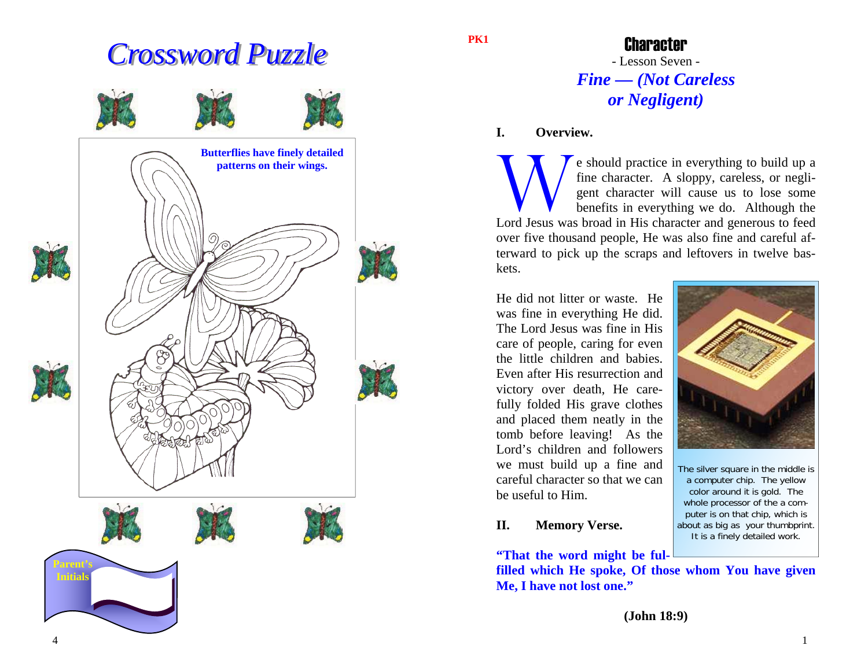# *Crossword Puzzle Crossword Puzzle*



**PK1** 

Character - Lesson Seven - *Fine — (Not Careless or Negligent)* 

**I. Overview.**

e should practice in everything to build up a fine character. A sloppy, careless, or negligent character will cause us to lose some benefits in everything we do. Although the Lord Jesus was broad in His character and generous to feed over five thousand people, He was also fine and careful afterward to pick up the scraps and leftovers in twelve baskets.

He did not litter or waste. He was fine in everything He did. The Lord Jesus was fine in His care of people, caring for even the little children and babies. Even after His resurrection and victory over death, He carefully folded His grave clothes and placed them neatly in the tomb before leaving! As the Lord's children and followers we must build up a fine and careful character so that we can be useful to Him.

### **II. Memory Verse.**

**"That the word might be ful-**

**filled which He spoke, Of those whom You have given Me, I have not lost one."** 



The silver square in the middle is a computer chip. The yellow color around it is gold. The whole processor of the a computer is on that chip, which is about as big as your thumbprint. It is a finely detailed work.

**(John 18:9)** 

4